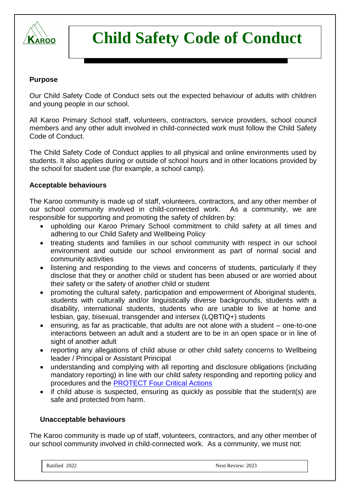

## **Purpose**

Our Child Safety Code of Conduct sets out the expected behaviour of adults with children and young people in our school.

All Karoo Primary School staff, volunteers, contractors, service providers, school council members and any other adult involved in child-connected work must follow the Child Safety Code of Conduct.

The Child Safety Code of Conduct applies to all physical and online environments used by students. It also applies during or outside of school hours and in other locations provided by the school for student use (for example, a school camp).

## **Acceptable behaviours**

The Karoo community is made up of staff, volunteers, contractors, and any other member of our school community involved in child-connected work. As a community, we are responsible for supporting and promoting the safety of children by:

- upholding our Karoo Primary School commitment to child safety at all times and adhering to our Child Safety and Wellbeing Policy
- treating students and families in our school community with respect in our school environment and outside our school environment as part of normal social and community activities
- listening and responding to the views and concerns of students, particularly if they disclose that they or another child or student has been abused or are worried about their safety or the safety of another child or student
- promoting the cultural safety, participation and empowerment of Aboriginal students, students with culturally and/or linguistically diverse backgrounds, students with a disability, international students, students who are unable to live at home and lesbian, gay, bisexual, transgender and intersex (LQBTIQ+) students
- ensuring, as far as practicable, that adults are not alone with a student one-to-one interactions between an adult and a student are to be in an open space or in line of sight of another adult
- reporting any allegations of child abuse or other child safety concerns to Wellbeing leader / Principal or Assistant Principal
- understanding and complying with all reporting and disclosure obligations (including mandatory reporting) in line with our child safety responding and reporting policy and procedures and the [PROTECT Four Critical Actions](https://www.education.vic.gov.au/Documents/about/programs/health/protect/FourCriticalActions_ChildAbuse.pdf)
- if child abuse is suspected, ensuring as quickly as possible that the student(s) are safe and protected from harm.

## **Unacceptable behaviours**

The Karoo community is made up of staff, volunteers, contractors, and any other member of our school community involved in child-connected work. As a community, we must not: